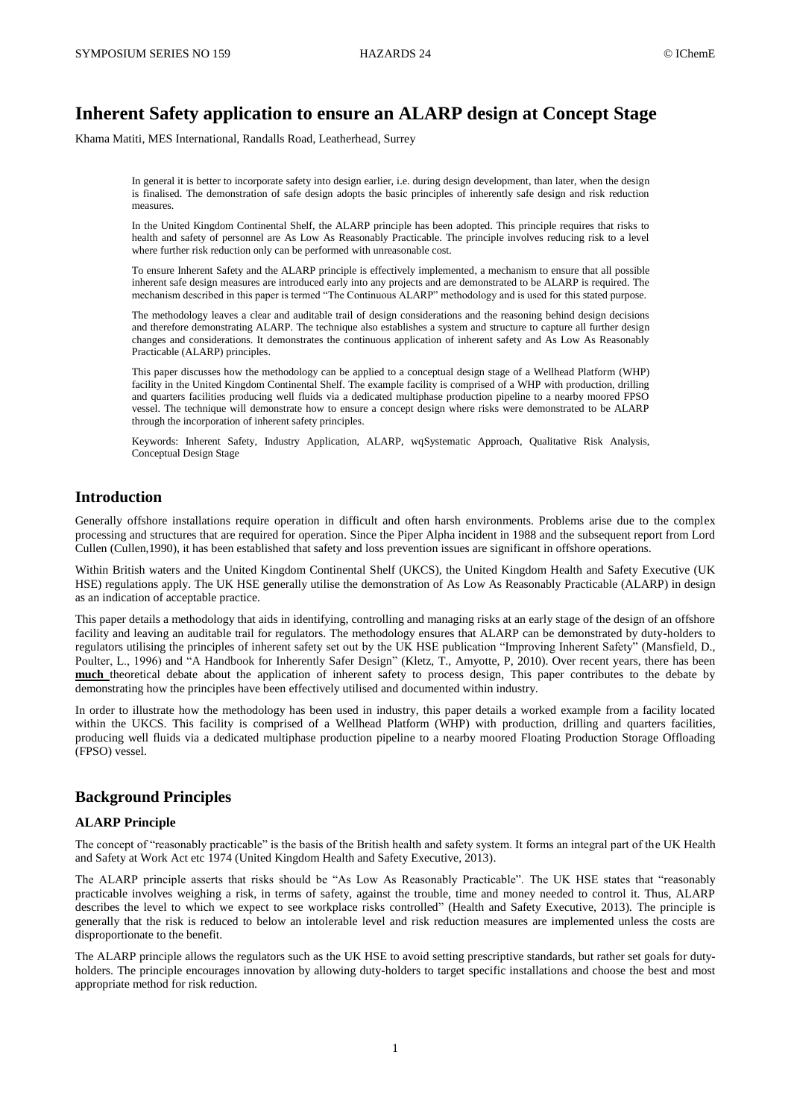# **Inherent Safety application to ensure an ALARP design at Concept Stage**

Khama Matiti, MES International, Randalls Road, Leatherhead, Surrey

In general it is better to incorporate safety into design earlier, i.e. during design development, than later, when the design is finalised. The demonstration of safe design adopts the basic principles of inherently safe design and risk reduction measures.

In the United Kingdom Continental Shelf, the ALARP principle has been adopted. This principle requires that risks to health and safety of personnel are As Low As Reasonably Practicable. The principle involves reducing risk to a level where further risk reduction only can be performed with unreasonable cost.

To ensure Inherent Safety and the ALARP principle is effectively implemented, a mechanism to ensure that all possible inherent safe design measures are introduced early into any projects and are demonstrated to be ALARP is required. The mechanism described in this paper is termed "The Continuous ALARP" methodology and is used for this stated purpose.

The methodology leaves a clear and auditable trail of design considerations and the reasoning behind design decisions and therefore demonstrating ALARP. The technique also establishes a system and structure to capture all further design changes and considerations. It demonstrates the continuous application of inherent safety and As Low As Reasonably Practicable (ALARP) principles.

This paper discusses how the methodology can be applied to a conceptual design stage of a Wellhead Platform (WHP) facility in the United Kingdom Continental Shelf. The example facility is comprised of a WHP with production, drilling and quarters facilities producing well fluids via a dedicated multiphase production pipeline to a nearby moored FPSO vessel. The technique will demonstrate how to ensure a concept design where risks were demonstrated to be ALARP through the incorporation of inherent safety principles.

Keywords: Inherent Safety, Industry Application, ALARP, wqSystematic Approach, Qualitative Risk Analysis, Conceptual Design Stage

### **Introduction**

Generally offshore installations require operation in difficult and often harsh environments. Problems arise due to the complex processing and structures that are required for operation. Since the Piper Alpha incident in 1988 and the subsequent report from Lord Cullen (Cullen,1990), it has been established that safety and loss prevention issues are significant in offshore operations.

Within British waters and the United Kingdom Continental Shelf (UKCS), the United Kingdom Health and Safety Executive (UK HSE) regulations apply. The UK HSE generally utilise the demonstration of As Low As Reasonably Practicable (ALARP) in design as an indication of acceptable practice.

This paper details a methodology that aids in identifying, controlling and managing risks at an early stage of the design of an offshore facility and leaving an auditable trail for regulators. The methodology ensures that ALARP can be demonstrated by duty-holders to regulators utilising the principles of inherent safety set out by the UK HSE publication "Improving Inherent Safety" (Mansfield, D., Poulter, L., 1996) and "A Handbook for Inherently Safer Design" (Kletz, T., Amyotte, P, 2010). Over recent years, there has been **much** theoretical debate about the application of inherent safety to process design, This paper contributes to the debate by demonstrating how the principles have been effectively utilised and documented within industry.

In order to illustrate how the methodology has been used in industry, this paper details a worked example from a facility located within the UKCS. This facility is comprised of a Wellhead Platform (WHP) with production, drilling and quarters facilities, producing well fluids via a dedicated multiphase production pipeline to a nearby moored Floating Production Storage Offloading (FPSO) vessel.

### **Background Principles**

### **ALARP Principle**

The concept of "reasonably practicable" is the basis of the British health and safety system. It forms an integral part of the UK Health and Safety at Work Act etc 1974 (United Kingdom Health and Safety Executive, 2013).

The ALARP principle asserts that risks should be "As Low As Reasonably Practicable". The UK HSE states that "reasonably practicable involves weighing a risk, in terms of safety, against the trouble, time and money needed to control it. Thus, ALARP describes the level to which we expect to see workplace risks controlled" (Health and Safety Executive, 2013). The principle is generally that the risk is reduced to below an intolerable level and risk reduction measures are implemented unless the costs are disproportionate to the benefit.

The ALARP principle allows the regulators such as the UK HSE to avoid setting prescriptive standards, but rather set goals for dutyholders. The principle encourages innovation by allowing duty-holders to target specific installations and choose the best and most appropriate method for risk reduction.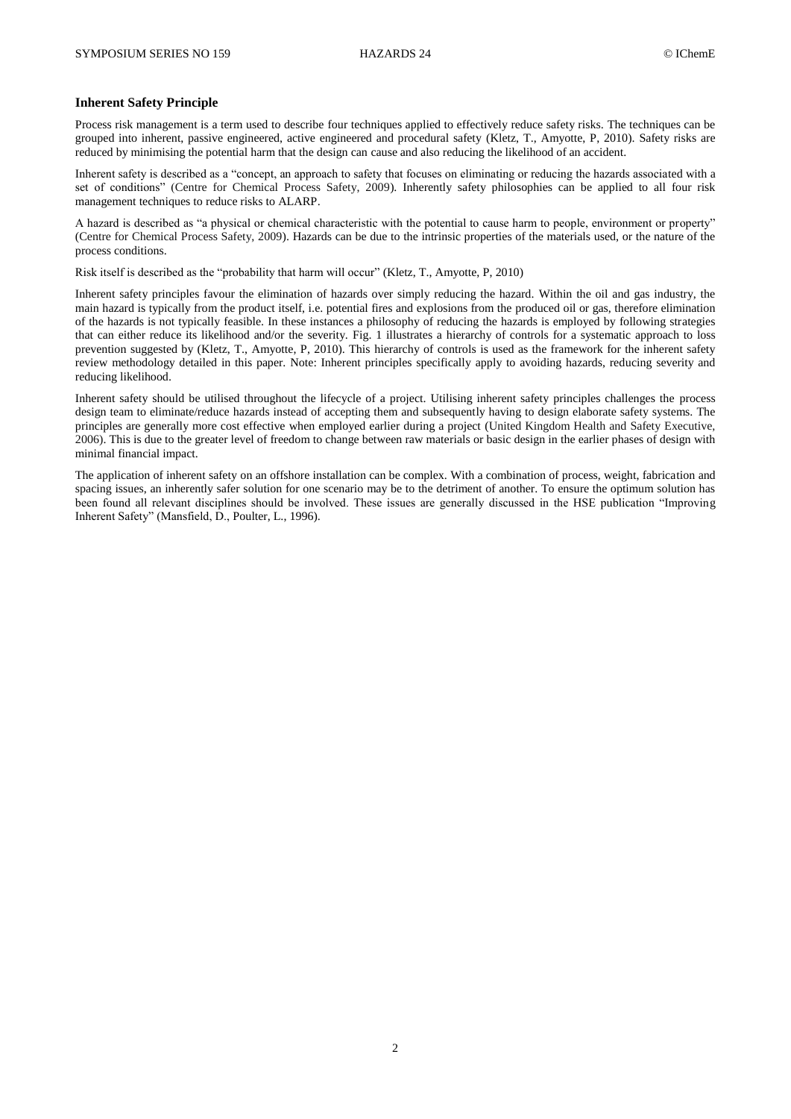#### **Inherent Safety Principle**

Process risk management is a term used to describe four techniques applied to effectively reduce safety risks. The techniques can be grouped into inherent, passive engineered, active engineered and procedural safety (Kletz, T., Amyotte, P, 2010). Safety risks are reduced by minimising the potential harm that the design can cause and also reducing the likelihood of an accident.

Inherent safety is described as a "concept, an approach to safety that focuses on eliminating or reducing the hazards associated with a set of conditions" (Centre for Chemical Process Safety, 2009). Inherently safety philosophies can be applied to all four risk management techniques to reduce risks to ALARP.

A hazard is described as "a physical or chemical characteristic with the potential to cause harm to people, environment or property" (Centre for Chemical Process Safety, 2009). Hazards can be due to the intrinsic properties of the materials used, or the nature of the process conditions.

Risk itself is described as the "probability that harm will occur" (Kletz, T., Amyotte, P, 2010)

Inherent safety principles favour the elimination of hazards over simply reducing the hazard. Within the oil and gas industry, the main hazard is typically from the product itself, i.e. potential fires and explosions from the produced oil or gas, therefore elimination of the hazards is not typically feasible. In these instances a philosophy of reducing the hazards is employed by following strategies that can either reduce its likelihood and/or the severity. Fig. 1 illustrates a hierarchy of controls for a systematic approach to loss prevention suggested by (Kletz, T., Amyotte, P, 2010). This hierarchy of controls is used as the framework for the inherent safety review methodology detailed in this paper. Note: Inherent principles specifically apply to avoiding hazards, reducing severity and reducing likelihood.

Inherent safety should be utilised throughout the lifecycle of a project. Utilising inherent safety principles challenges the process design team to eliminate/reduce hazards instead of accepting them and subsequently having to design elaborate safety systems. The principles are generally more cost effective when employed earlier during a project (United Kingdom Health and Safety Executive, 2006). This is due to the greater level of freedom to change between raw materials or basic design in the earlier phases of design with minimal financial impact.

The application of inherent safety on an offshore installation can be complex. With a combination of process, weight, fabrication and spacing issues, an inherently safer solution for one scenario may be to the detriment of another. To ensure the optimum solution has been found all relevant disciplines should be involved. These issues are generally discussed in the HSE publication "Improving Inherent Safety" (Mansfield, D., Poulter, L., 1996).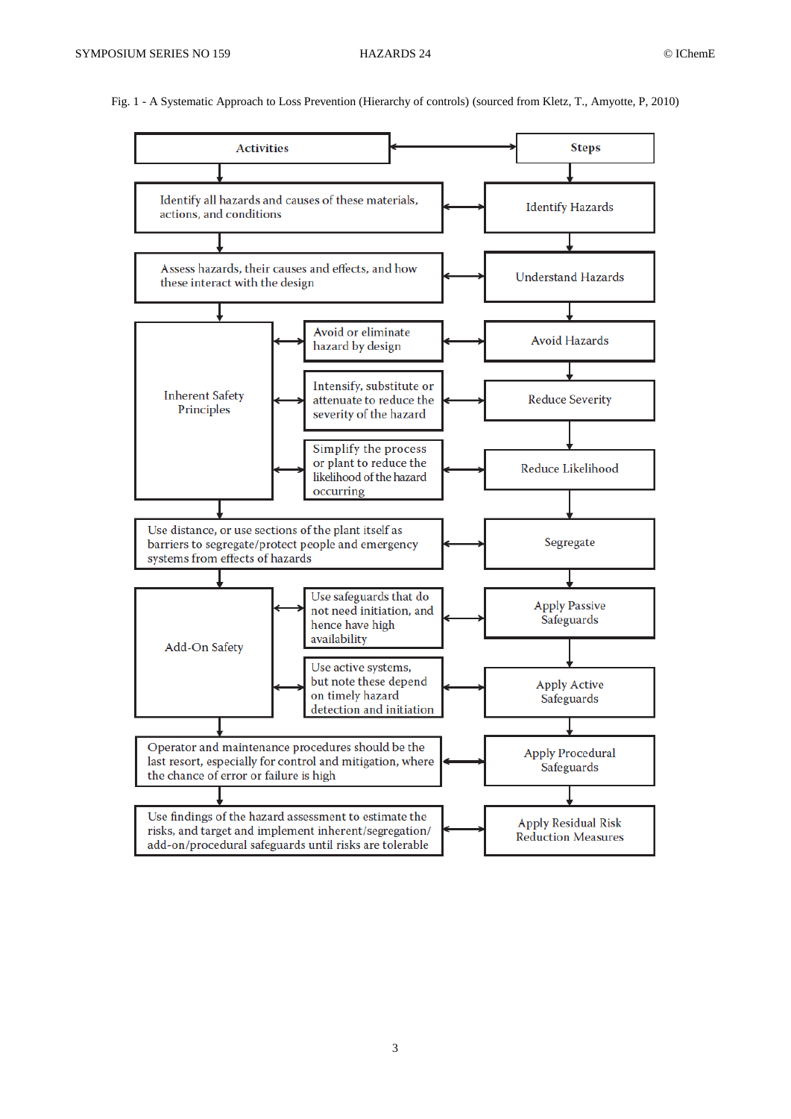Fig. 1 - A Systematic Approach to Loss Prevention (Hierarchy of controls) (sourced from Kletz, T., Amyotte, P, 2010)

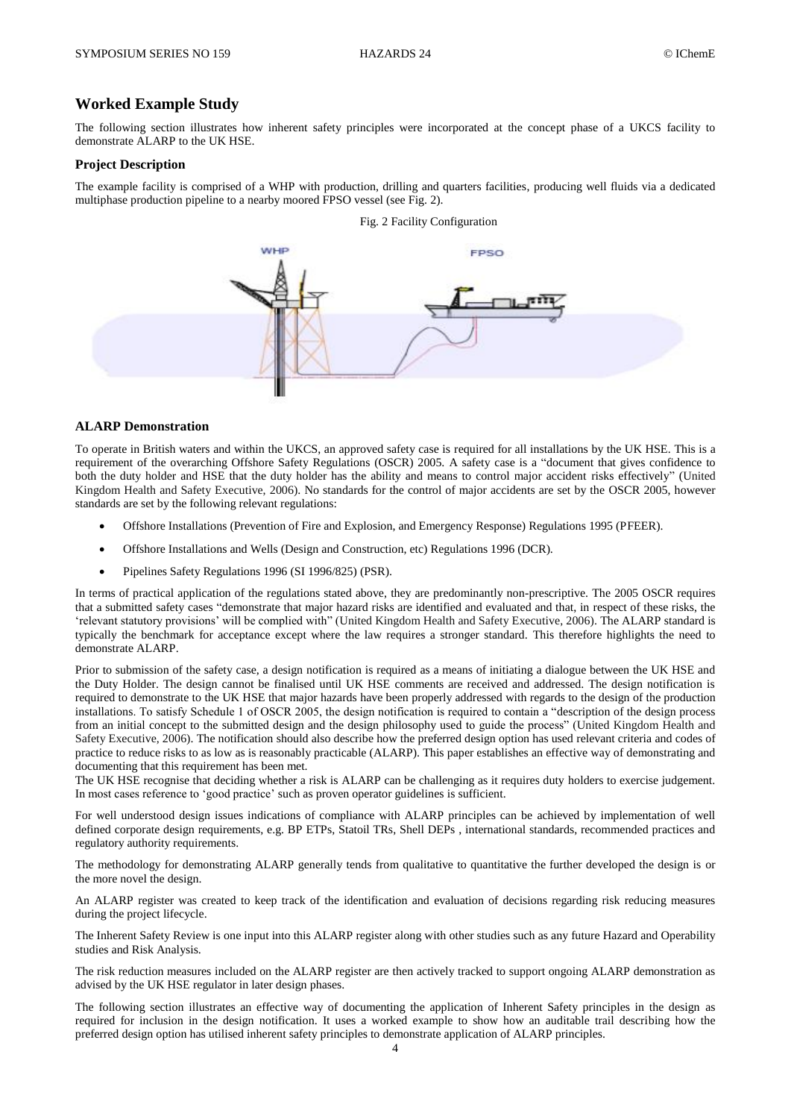### **Worked Example Study**

The following section illustrates how inherent safety principles were incorporated at the concept phase of a UKCS facility to demonstrate ALARP to the UK HSE.

#### **Project Description**

The example facility is comprised of a WHP with production, drilling and quarters facilities, producing well fluids via a dedicated multiphase production pipeline to a nearby moored FPSO vessel (see Fig. 2).



#### **ALARP Demonstration**

To operate in British waters and within the UKCS, an approved safety case is required for all installations by the UK HSE. This is a requirement of the overarching Offshore Safety Regulations (OSCR) 2005. A safety case is a "document that gives confidence to both the duty holder and HSE that the duty holder has the ability and means to control major accident risks effectively" (United Kingdom Health and Safety Executive, 2006). No standards for the control of major accidents are set by the OSCR 2005, however standards are set by the following relevant regulations:

- Offshore Installations (Prevention of Fire and Explosion, and Emergency Response) Regulations 1995 (PFEER).
- Offshore Installations and Wells (Design and Construction, etc) Regulations 1996 (DCR).
- Pipelines Safety Regulations 1996 (SI 1996/825) (PSR).

In terms of practical application of the regulations stated above, they are predominantly non-prescriptive. The 2005 OSCR requires that a submitted safety cases "demonstrate that major hazard risks are identified and evaluated and that, in respect of these risks, the 'relevant statutory provisions' will be complied with" (United Kingdom Health and Safety Executive, 2006). The ALARP standard is typically the benchmark for acceptance except where the law requires a stronger standard. This therefore highlights the need to demonstrate ALARP.

Prior to submission of the safety case, a design notification is required as a means of initiating a dialogue between the UK HSE and the Duty Holder. The design cannot be finalised until UK HSE comments are received and addressed. The design notification is required to demonstrate to the UK HSE that major hazards have been properly addressed with regards to the design of the production installations. To satisfy Schedule 1 of OSCR 2005, the design notification is required to contain a "description of the design process from an initial concept to the submitted design and the design philosophy used to guide the process" (United Kingdom Health and Safety Executive, 2006). The notification should also describe how the preferred design option has used relevant criteria and codes of practice to reduce risks to as low as is reasonably practicable (ALARP). This paper establishes an effective way of demonstrating and documenting that this requirement has been met.

The UK HSE recognise that deciding whether a risk is ALARP can be challenging as it requires duty holders to exercise judgement. In most cases reference to 'good practice' such as proven operator guidelines is sufficient.

For well understood design issues indications of compliance with ALARP principles can be achieved by implementation of well defined corporate design requirements, e.g. BP ETPs, Statoil TRs, Shell DEPs , international standards, recommended practices and regulatory authority requirements.

The methodology for demonstrating ALARP generally tends from qualitative to quantitative the further developed the design is or the more novel the design.

An ALARP register was created to keep track of the identification and evaluation of decisions regarding risk reducing measures during the project lifecycle.

The Inherent Safety Review is one input into this ALARP register along with other studies such as any future Hazard and Operability studies and Risk Analysis.

The risk reduction measures included on the ALARP register are then actively tracked to support ongoing ALARP demonstration as advised by the UK HSE regulator in later design phases.

The following section illustrates an effective way of documenting the application of Inherent Safety principles in the design as required for inclusion in the design notification. It uses a worked example to show how an auditable trail describing how the preferred design option has utilised inherent safety principles to demonstrate application of ALARP principles.

### Fig. 2 Facility Configuration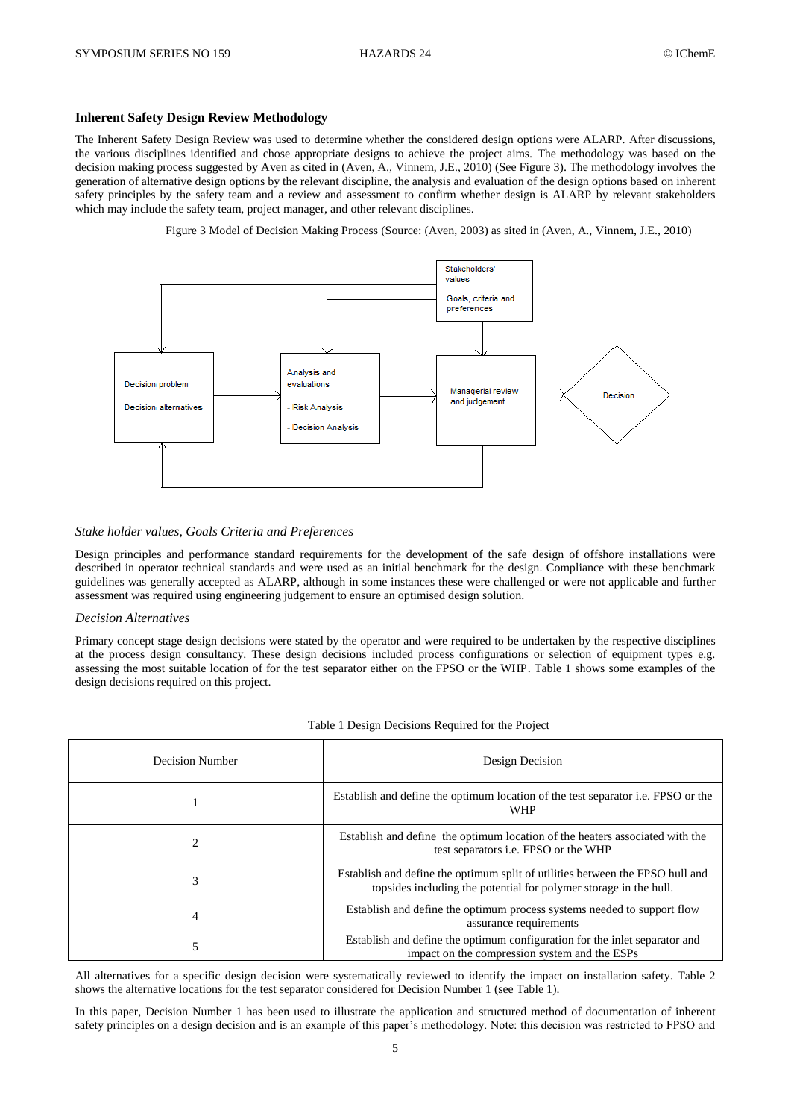#### **Inherent Safety Design Review Methodology**

The Inherent Safety Design Review was used to determine whether the considered design options were ALARP. After discussions, the various disciplines identified and chose appropriate designs to achieve the project aims. The methodology was based on the decision making process suggested by Aven as cited in (Aven, A., Vinnem, J.E., 2010) (See Figure 3). The methodology involves the generation of alternative design options by the relevant discipline, the analysis and evaluation of the design options based on inherent safety principles by the safety team and a review and assessment to confirm whether design is ALARP by relevant stakeholders which may include the safety team, project manager, and other relevant disciplines.

Figure 3 Model of Decision Making Process (Source: (Aven, 2003) as sited in (Aven, A., Vinnem, J.E., 2010)



#### *Stake holder values, Goals Criteria and Preferences*

Design principles and performance standard requirements for the development of the safe design of offshore installations were described in operator technical standards and were used as an initial benchmark for the design. Compliance with these benchmark guidelines was generally accepted as ALARP, although in some instances these were challenged or were not applicable and further assessment was required using engineering judgement to ensure an optimised design solution.

#### *Decision Alternatives*

Primary concept stage design decisions were stated by the operator and were required to be undertaken by the respective disciplines at the process design consultancy. These design decisions included process configurations or selection of equipment types e.g. assessing the most suitable location of for the test separator either on the FPSO or the WHP. Table 1 shows some examples of the design decisions required on this project.

| <b>Decision Number</b> | Design Decision                                                                                                                                    |
|------------------------|----------------------------------------------------------------------------------------------------------------------------------------------------|
|                        | Establish and define the optimum location of the test separator <i>i.e.</i> FPSO or the<br><b>WHP</b>                                              |
| 2                      | Establish and define the optimum location of the heaters associated with the<br>test separators <i>i.e.</i> FPSO or the WHP                        |
| 3                      | Establish and define the optimum split of utilities between the FPSO hull and<br>topsides including the potential for polymer storage in the hull. |
| 4                      | Establish and define the optimum process systems needed to support flow<br>assurance requirements                                                  |
| 5                      | Establish and define the optimum configuration for the inlet separator and<br>impact on the compression system and the ESPs                        |

#### Table 1 Design Decisions Required for the Project

All alternatives for a specific design decision were systematically reviewed to identify the impact on installation safety. Table 2 shows the alternative locations for the test separator considered for Decision Number 1 (see Table 1).

In this paper, Decision Number 1 has been used to illustrate the application and structured method of documentation of inherent safety principles on a design decision and is an example of this paper's methodology. Note: this decision was restricted to FPSO and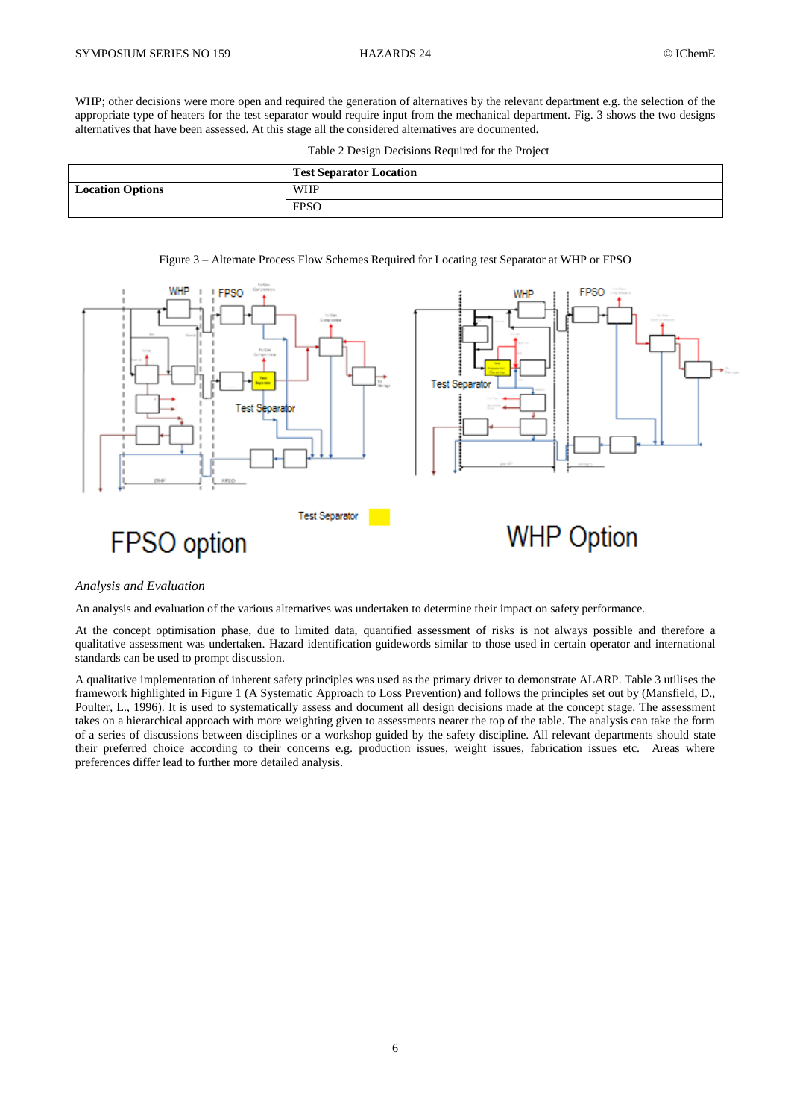WHP; other decisions were more open and required the generation of alternatives by the relevant department e.g. the selection of the appropriate type of heaters for the test separator would require input from the mechanical department. Fig. 3 shows the two designs alternatives that have been assessed. At this stage all the considered alternatives are documented.

Table 2 Design Decisions Required for the Project





### *Analysis and Evaluation*

An analysis and evaluation of the various alternatives was undertaken to determine their impact on safety performance.

At the concept optimisation phase, due to limited data, quantified assessment of risks is not always possible and therefore a qualitative assessment was undertaken. Hazard identification guidewords similar to those used in certain operator and international standards can be used to prompt discussion.

A qualitative implementation of inherent safety principles was used as the primary driver to demonstrate ALARP. Table 3 utilises the framework highlighted in Figure 1 (A Systematic Approach to Loss Prevention) and follows the principles set out by (Mansfield, D., Poulter, L., 1996). It is used to systematically assess and document all design decisions made at the concept stage. The assessment takes on a hierarchical approach with more weighting given to assessments nearer the top of the table. The analysis can take the form of a series of discussions between disciplines or a workshop guided by the safety discipline. All relevant departments should state their preferred choice according to their concerns e.g. production issues, weight issues, fabrication issues etc. Areas where preferences differ lead to further more detailed analysis.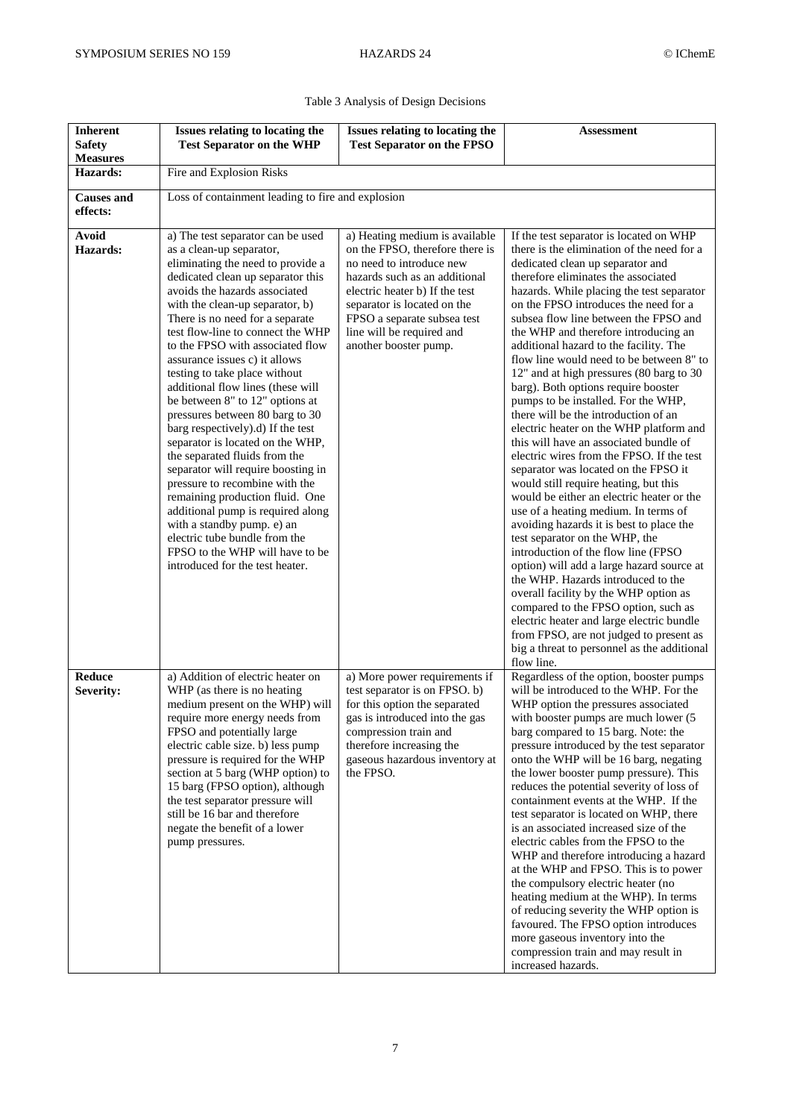| <b>Inherent</b><br><b>Safety</b> | Issues relating to locating the<br><b>Test Separator on the WHP</b>                                                                                                                                                                                                                                                                                                                                                                                                                                                                                                                                                                                                                                                                                                                                                                                                                                 | Issues relating to locating the<br><b>Test Separator on the FPSO</b>                                                                                                                                                                                                                 | Assessment                                                                                                                                                                                                                                                                                                                                                                                                                                                                                                                                                                                                                                                                                                                                                                                                                                                                                                                                                                                                                                                                                                                                                                                                                                                                                                                                             |  |
|----------------------------------|-----------------------------------------------------------------------------------------------------------------------------------------------------------------------------------------------------------------------------------------------------------------------------------------------------------------------------------------------------------------------------------------------------------------------------------------------------------------------------------------------------------------------------------------------------------------------------------------------------------------------------------------------------------------------------------------------------------------------------------------------------------------------------------------------------------------------------------------------------------------------------------------------------|--------------------------------------------------------------------------------------------------------------------------------------------------------------------------------------------------------------------------------------------------------------------------------------|--------------------------------------------------------------------------------------------------------------------------------------------------------------------------------------------------------------------------------------------------------------------------------------------------------------------------------------------------------------------------------------------------------------------------------------------------------------------------------------------------------------------------------------------------------------------------------------------------------------------------------------------------------------------------------------------------------------------------------------------------------------------------------------------------------------------------------------------------------------------------------------------------------------------------------------------------------------------------------------------------------------------------------------------------------------------------------------------------------------------------------------------------------------------------------------------------------------------------------------------------------------------------------------------------------------------------------------------------------|--|
| <b>Measures</b>                  |                                                                                                                                                                                                                                                                                                                                                                                                                                                                                                                                                                                                                                                                                                                                                                                                                                                                                                     |                                                                                                                                                                                                                                                                                      |                                                                                                                                                                                                                                                                                                                                                                                                                                                                                                                                                                                                                                                                                                                                                                                                                                                                                                                                                                                                                                                                                                                                                                                                                                                                                                                                                        |  |
| Hazards:                         | Fire and Explosion Risks                                                                                                                                                                                                                                                                                                                                                                                                                                                                                                                                                                                                                                                                                                                                                                                                                                                                            |                                                                                                                                                                                                                                                                                      |                                                                                                                                                                                                                                                                                                                                                                                                                                                                                                                                                                                                                                                                                                                                                                                                                                                                                                                                                                                                                                                                                                                                                                                                                                                                                                                                                        |  |
| <b>Causes</b> and<br>effects:    | Loss of containment leading to fire and explosion                                                                                                                                                                                                                                                                                                                                                                                                                                                                                                                                                                                                                                                                                                                                                                                                                                                   |                                                                                                                                                                                                                                                                                      |                                                                                                                                                                                                                                                                                                                                                                                                                                                                                                                                                                                                                                                                                                                                                                                                                                                                                                                                                                                                                                                                                                                                                                                                                                                                                                                                                        |  |
| Avoid<br>Hazards:                | a) The test separator can be used<br>as a clean-up separator,<br>eliminating the need to provide a<br>dedicated clean up separator this<br>avoids the hazards associated<br>with the clean-up separator, b)<br>There is no need for a separate<br>test flow-line to connect the WHP<br>to the FPSO with associated flow<br>assurance issues c) it allows<br>testing to take place without<br>additional flow lines (these will<br>be between 8" to 12" options at<br>pressures between 80 barg to 30<br>barg respectively).d) If the test<br>separator is located on the WHP,<br>the separated fluids from the<br>separator will require boosting in<br>pressure to recombine with the<br>remaining production fluid. One<br>additional pump is required along<br>with a standby pump. e) an<br>electric tube bundle from the<br>FPSO to the WHP will have to be<br>introduced for the test heater. | a) Heating medium is available<br>on the FPSO, therefore there is<br>no need to introduce new<br>hazards such as an additional<br>electric heater b) If the test<br>separator is located on the<br>FPSO a separate subsea test<br>line will be required and<br>another booster pump. | If the test separator is located on WHP<br>there is the elimination of the need for a<br>dedicated clean up separator and<br>therefore eliminates the associated<br>hazards. While placing the test separator<br>on the FPSO introduces the need for a<br>subsea flow line between the FPSO and<br>the WHP and therefore introducing an<br>additional hazard to the facility. The<br>flow line would need to be between 8" to<br>12" and at high pressures (80 barg to 30<br>barg). Both options require booster<br>pumps to be installed. For the WHP,<br>there will be the introduction of an<br>electric heater on the WHP platform and<br>this will have an associated bundle of<br>electric wires from the FPSO. If the test<br>separator was located on the FPSO it<br>would still require heating, but this<br>would be either an electric heater or the<br>use of a heating medium. In terms of<br>avoiding hazards it is best to place the<br>test separator on the WHP, the<br>introduction of the flow line (FPSO)<br>option) will add a large hazard source at<br>the WHP. Hazards introduced to the<br>overall facility by the WHP option as<br>compared to the FPSO option, such as<br>electric heater and large electric bundle<br>from FPSO, are not judged to present as<br>big a threat to personnel as the additional<br>flow line. |  |
| Reduce<br>Severity:              | a) Addition of electric heater on<br>WHP (as there is no heating<br>medium present on the WHP) will<br>require more energy needs from<br>FPSO and potentially large<br>electric cable size. b) less pump<br>pressure is required for the WHP<br>section at 5 barg (WHP option) to<br>15 barg (FPSO option), although<br>the test separator pressure will<br>still be 16 bar and therefore<br>negate the benefit of a lower<br>pump pressures.                                                                                                                                                                                                                                                                                                                                                                                                                                                       | a) More power requirements if<br>test separator is on FPSO. b)<br>for this option the separated<br>gas is introduced into the gas<br>compression train and<br>therefore increasing the<br>gaseous hazardous inventory at<br>the FPSO.                                                | Regardless of the option, booster pumps<br>will be introduced to the WHP. For the<br>WHP option the pressures associated<br>with booster pumps are much lower (5<br>barg compared to 15 barg. Note: the<br>pressure introduced by the test separator<br>onto the WHP will be 16 barg, negating<br>the lower booster pump pressure). This<br>reduces the potential severity of loss of<br>containment events at the WHP. If the<br>test separator is located on WHP, there<br>is an associated increased size of the<br>electric cables from the FPSO to the<br>WHP and therefore introducing a hazard<br>at the WHP and FPSO. This is to power<br>the compulsory electric heater (no<br>heating medium at the WHP). In terms<br>of reducing severity the WHP option is<br>favoured. The FPSO option introduces<br>more gaseous inventory into the<br>compression train and may result in<br>increased hazards.                                                                                                                                                                                                                                                                                                                                                                                                                                         |  |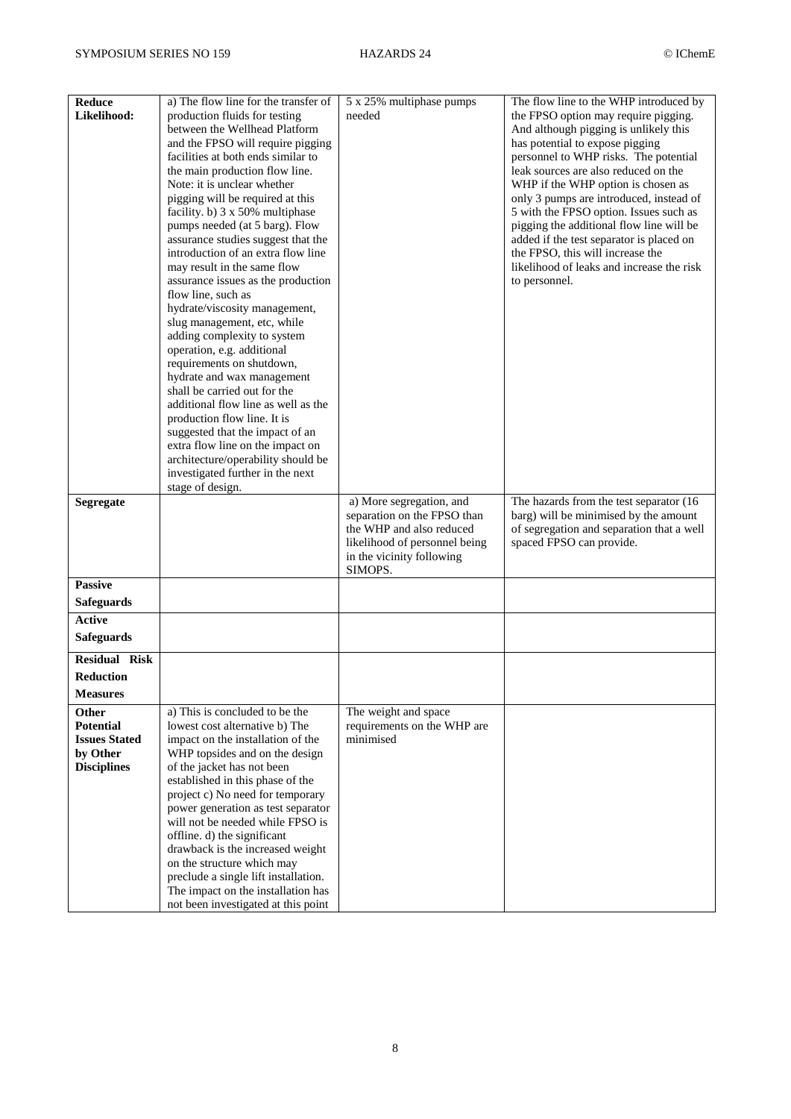| Reduce<br>Likelihood:              | a) The flow line for the transfer of<br>production fluids for testing    | 5 x 25% multiphase pumps<br>needed                      | The flow line to the WHP introduced by<br>the FPSO option may require pigging.    |
|------------------------------------|--------------------------------------------------------------------------|---------------------------------------------------------|-----------------------------------------------------------------------------------|
|                                    | between the Wellhead Platform                                            |                                                         | And although pigging is unlikely this                                             |
|                                    | and the FPSO will require pigging<br>facilities at both ends similar to  |                                                         | has potential to expose pigging<br>personnel to WHP risks. The potential          |
|                                    | the main production flow line.                                           |                                                         | leak sources are also reduced on the                                              |
|                                    | Note: it is unclear whether                                              |                                                         | WHP if the WHP option is chosen as                                                |
|                                    | pigging will be required at this<br>facility. b) 3 x 50% multiphase      |                                                         | only 3 pumps are introduced, instead of<br>5 with the FPSO option. Issues such as |
|                                    | pumps needed (at 5 barg). Flow                                           |                                                         | pigging the additional flow line will be                                          |
|                                    | assurance studies suggest that the<br>introduction of an extra flow line |                                                         | added if the test separator is placed on<br>the FPSO, this will increase the      |
|                                    | may result in the same flow                                              |                                                         | likelihood of leaks and increase the risk                                         |
|                                    | assurance issues as the production<br>flow line, such as                 |                                                         | to personnel.                                                                     |
|                                    | hydrate/viscosity management,                                            |                                                         |                                                                                   |
|                                    | slug management, etc, while                                              |                                                         |                                                                                   |
|                                    | adding complexity to system<br>operation, e.g. additional                |                                                         |                                                                                   |
|                                    | requirements on shutdown,                                                |                                                         |                                                                                   |
|                                    | hydrate and wax management<br>shall be carried out for the               |                                                         |                                                                                   |
|                                    | additional flow line as well as the                                      |                                                         |                                                                                   |
|                                    | production flow line. It is<br>suggested that the impact of an           |                                                         |                                                                                   |
|                                    | extra flow line on the impact on                                         |                                                         |                                                                                   |
|                                    | architecture/operability should be                                       |                                                         |                                                                                   |
|                                    | investigated further in the next<br>stage of design.                     |                                                         |                                                                                   |
| <b>Segregate</b>                   |                                                                          | a) More segregation, and<br>separation on the FPSO than | The hazards from the test separator (16<br>barg) will be minimised by the amount  |
|                                    |                                                                          | the WHP and also reduced                                | of segregation and separation that a well                                         |
|                                    |                                                                          | likelihood of personnel being                           | spaced FPSO can provide.                                                          |
|                                    |                                                                          | in the vicinity following<br>SIMOPS.                    |                                                                                   |
| <b>Passive</b>                     |                                                                          |                                                         |                                                                                   |
| <b>Safeguards</b><br><b>Active</b> |                                                                          |                                                         |                                                                                   |
| <b>Safeguards</b>                  |                                                                          |                                                         |                                                                                   |
| <b>Residual Risk</b>               |                                                                          |                                                         |                                                                                   |
| <b>Reduction</b>                   |                                                                          |                                                         |                                                                                   |
| <b>Measures</b>                    |                                                                          |                                                         |                                                                                   |
| <b>Other</b><br><b>Potential</b>   | a) This is concluded to be the<br>lowest cost alternative b) The         | The weight and space<br>requirements on the WHP are     |                                                                                   |
| <b>Issues Stated</b>               | impact on the installation of the                                        | minimised                                               |                                                                                   |
| by Other                           | WHP topsides and on the design                                           |                                                         |                                                                                   |
| <b>Disciplines</b>                 | of the jacket has not been<br>established in this phase of the           |                                                         |                                                                                   |
|                                    | project c) No need for temporary                                         |                                                         |                                                                                   |
|                                    | power generation as test separator<br>will not be needed while FPSO is   |                                                         |                                                                                   |
|                                    | offline. d) the significant                                              |                                                         |                                                                                   |
|                                    | drawback is the increased weight                                         |                                                         |                                                                                   |
|                                    | on the structure which may<br>preclude a single lift installation.       |                                                         |                                                                                   |
|                                    | The impact on the installation has                                       |                                                         |                                                                                   |
|                                    | not been investigated at this point                                      |                                                         |                                                                                   |